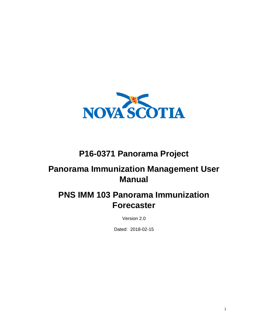

# **P16-0371 Panorama Project**

# **Panorama Immunization Management User Manual**

# **PNS IMM 103 Panorama Immunization Forecaster**

Version 2.0

Dated: 2018-02-15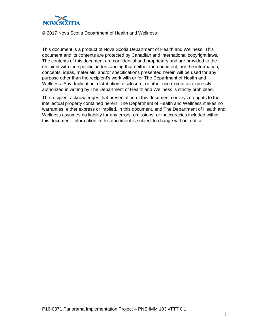

#### © 2017 Nova Scotia Department of Health and Wellness

This document is a product of Nova Scotia Department of Health and Wellness. This document and its contents are protected by Canadian and international copyright laws. The contents of this document are confidential and proprietary and are provided to the recipient with the specific understanding that neither the document, nor the information, concepts, ideas, materials, and/or specifications presented herein will be used for any purpose other than the recipient's work with or for The Department of Health and Wellness. Any duplication, distribution, disclosure, or other use except as expressly authorized in writing by The Department of Health and Wellness is strictly prohibited.

The recipient acknowledges that presentation of this document conveys no rights to the intellectual property contained herein. The Department of Health and Wellness makes no warranties, either express or implied, in this document, and The Department of Health and Wellness assumes no liability for any errors, omissions, or inaccuracies included within this document. Information in this document is subject to change without notice.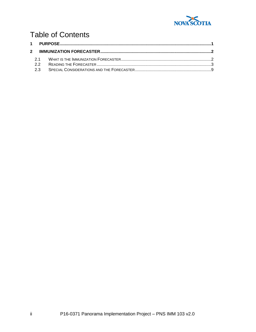

# **Table of Contents**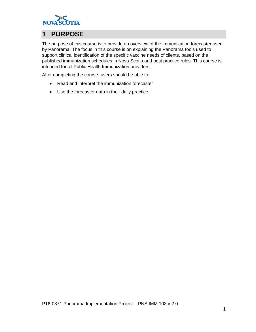

## <span id="page-4-0"></span>**1 PURPOSE**

The purpose of this course is to provide an overview of the immunization forecaster used by Panorama. The focus in this course is on explaining the Panorama tools used to support clinical identification of the specific vaccine needs of clients, based on the published immunization schedules in Nova Scotia and best practice rules. This course is intended for all Public Health Immunization providers.

After completing the course, users should be able to:

- Read and interpret the immunization forecaster
- Use the forecaster data in their daily practice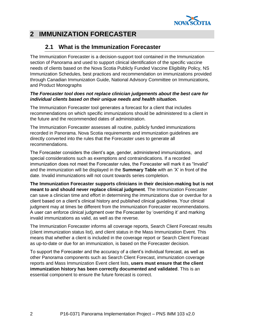

### <span id="page-5-1"></span><span id="page-5-0"></span>**2 IMMUNIZATION FORECASTER**

### **2.1 What is the Immunization Forecaster**

The Immunization Forecaster is a decision-support tool contained in the Immunization section of Panorama and used to support clinical identification of the specific vaccine needs of clients based on the Nova Scotia Publicly Funded Vaccine Eligibility Policy, NS Immunization Schedules, best practices and recommendation on immunizations provided through Canadian Immunization Guide, National Advisory Committee on Immunizations, and Product Monographs

#### *The Forecaster tool does not replace clinician judgements about the best care for individual clients based on their unique needs and health situation.*

The Immunization Forecaster tool generates a forecast for a client that includes recommendations on which specific immunizations should be administered to a client in the future and the recommended dates of administration.

The Immunization Forecaster assesses all routine, publicly funded immunizations recorded in Panorama. Nova Scotia requirements and immunization guidelines are directly converted into the rules that the Forecaster uses to generate all recommendations.

The Forecaster considers the client's age, gender, administered immunizations, and special considerations such as exemptions and contraindications. If a recorded immunization does not meet the Forecaster rules, the Forecaster will mark it as "Invalid" and the immunization will be displayed in the **Summary Table** with an 'X' in front of the date. Invalid immunizations will not count towards series completion.

**The Immunization Forecaster supports clinicians in their decision-making but is not meant to and should never replace clinical judgment**. The Immunization Forecaster can save a clinician time and effort in determining the immunizations due or overdue for a client based on a client's clinical history and published clinical guidelines. Your clinical judgment may at times be different from the Immunization Forecaster recommendations. A user can enforce clinical judgment over the Forecaster by 'overriding it' and marking invalid immunizations as valid, as well as the reverse.

The Immunization Forecaster informs all coverage reports, Search Client Forecast results (client immunization status list), and client status in the Mass Immunization Event. This means that whether a client is included in the coverage report or Search Client Forecast as up-to-date or due for an immunization, is based on the Forecaster decision.

To support the Forecaster and the accuracy of a client's individual forecast, as well as other Panorama components such as Search Client Forecast, immunization coverage reports and Mass Immunization Event client lists, **users must ensure that the client immunization history has been correctly documented and validated**. This is an essential component to ensure the future forecast is correct.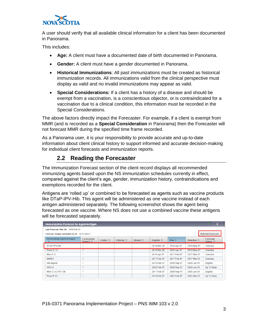

A user should verify that all available clinical information for a client has been documented in Panorama.

This includes:

- **Age:** A client must have a documented date of birth documented in Panorama.
- **Gender:** A client must have a gender documented in Panorama.
- **Historical Immunizations**: All past immunizations must be created as historical immunization records. All immunizations valid from the clinical perspective must display as valid and no invalid immunizations may appear as valid.
- **Special Considerations:** If a client has a history of a disease and should be exempt from a vaccination, is a conscientious objector, or is contraindicated for a vaccination due to a clinical condition, this information must be recorded in the Special Considerations.

The above factors directly impact the Forecaster. For example, if a client is exempt from MMR (and is recorded as a **Special Consideration** in Panorama) then the Forecaster will not forecast MMR during the specified time frame recorded.

As a Panorama user, it is your responsibility to provide accurate and up-to-date information about client clinical history to support informed and accurate decision-making for individual client forecasts and immunization reports.

### **2.2 Reading the Forecaster**

<span id="page-6-0"></span>The Immunization Forecast section of the client record displays all recommended immunizing agents based upon the NS immunization schedules currently in effect, compared against the client's age, gender, immunization history, contraindications and exemptions recorded for the client.

Antigens are 'rolled up' or combined to be forecasted as agents such as vaccine products like DTaP-IPV-Hib. This agent will be administered as one vaccine instead of each antigen administered separately. The following screenshot shows the agent being forecasted as one vaccine. Where NS does not use a combined vaccine these antigens will be forecasted separately.

| <b>Immunization Forecast by Agent/Antigen</b><br>$\triangleright$        |                                       |                         |                          |                         |                            |                 |                           |                                              |  |  |  |  |  |
|--------------------------------------------------------------------------|---------------------------------------|-------------------------|--------------------------|-------------------------|----------------------------|-----------------|---------------------------|----------------------------------------------|--|--|--|--|--|
| Last Forecast Ran On: 2018 Feb 01                                        |                                       |                         |                          |                         |                            |                 |                           |                                              |  |  |  |  |  |
| <b>Refresh Forecast</b><br>Forecast Status calculated as of: 2018 Feb 01 |                                       |                         |                          |                         |                            |                 |                           |                                              |  |  |  |  |  |
| <b>Immunizing Agent/Antigen</b>                                          | Forecasted<br>Dose # $\hat{\diamond}$ | Codes $\Leftrightarrow$ | Volume $\Leftrightarrow$ | Brand $\Leftrightarrow$ | Eligible $\Leftrightarrow$ | Due $\triangle$ | Overdue $\Leftrightarrow$ | <b>Forecast</b><br>Status $\hat{\mathbf{v}}$ |  |  |  |  |  |
| DTaP-IPV-Hib                                                             |                                       |                         |                          |                         | 2016 Mar 20                | 2016 Apr 07     | 2016 May 07               | Overdue                                      |  |  |  |  |  |
| Pneu-C-13                                                                |                                       |                         |                          |                         | 2016 Mar 20                | 2016 Apr 07     | 2016 May 07               | Overdue                                      |  |  |  |  |  |
| Men-C-C                                                                  |                                       |                         |                          |                         | 2016 Apr 07                | 2017 Feb 07     | 2017 Mar 07               | Overdue                                      |  |  |  |  |  |
| <b>MMRV</b>                                                              |                                       |                         |                          |                         | 2017 Feb 07                | 2017 Feb 07     | 2017 Mar 07               | Overdue                                      |  |  |  |  |  |
| <b>HB-regular</b>                                                        |                                       |                         |                          |                         | 2016 Feb 07                | 2028 Sep 01     | 2029 Jan 01               | Eligible                                     |  |  |  |  |  |
| $HPV-4$                                                                  |                                       |                         |                          |                         | 2025 Feb 07                | 2028 Sep 01     | 2029 Jan 01               | Up To Date                                   |  |  |  |  |  |
| Men-C-ACYW-135                                                           |                                       |                         |                          |                         | 2017 Feb 07                | 2028 Sep 01     | 2029 Jan 01               | Eligible                                     |  |  |  |  |  |
| Pneu-P-23                                                                |                                       |                         |                          |                         | 2018 Feb 07                | 2081 Feb 07     | 2081 Mar 07               | Up To Date                                   |  |  |  |  |  |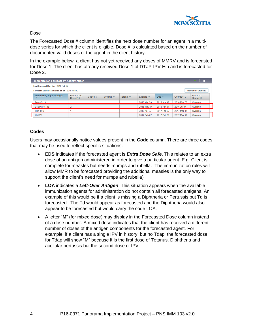

Dose

The Forecasted Dose # column identifies the next dose number for an agent in a multidose series for which the client is eligible. Dose # is calculated based on the number of documented valid doses of the agent in the client history.

In the example below, a client has not yet received any doses of MMRV and is forecasted for Dose 1. The client has already received Dose 1 of DTaP-IPV-Hib and is forecasted for Dose 2.

| Immunization Forecast by Agent/Antigen |                                                                          |                         |                          |                         |                            |                 |                           |                                      |  |  |  |  |  |
|----------------------------------------|--------------------------------------------------------------------------|-------------------------|--------------------------|-------------------------|----------------------------|-----------------|---------------------------|--------------------------------------|--|--|--|--|--|
| Last Forecast Ran On: 2018 Feb 02      |                                                                          |                         |                          |                         |                            |                 |                           |                                      |  |  |  |  |  |
|                                        | <b>Refresh Forecast</b><br>Forecast Status calculated as of: 2018 Feb 02 |                         |                          |                         |                            |                 |                           |                                      |  |  |  |  |  |
| Immunizing Agent/Antigen<br>▴          | <b>Forecasted</b><br>Dose # $\Diamond$                                   | Codes $\Leftrightarrow$ | Volume $\Leftrightarrow$ | Brand $\Leftrightarrow$ | Eligible $\Leftrightarrow$ | Due $\triangle$ | Overdue $\Leftrightarrow$ | Forecast<br>Status $\Leftrightarrow$ |  |  |  |  |  |
| Pneu-C-13                              |                                                                          |                         |                          |                         | 2016 Mar 20                | 2016 Apr 07     | 2016 May 07               | Overdue                              |  |  |  |  |  |
| DTaP-IPV-Hib                           | $\overline{2}$                                                           |                         |                          |                         | 2016 May 17                | 2016 Jun 07     | 2016 Jul 07               | Overdue                              |  |  |  |  |  |
| Men-C-C                                |                                                                          |                         |                          |                         | 2016 Apr 07                | 2017 Feb 07     | 2017 Mar 07               | Overdue                              |  |  |  |  |  |
| <b>MMRV</b>                            |                                                                          |                         |                          |                         | 2017 Feb 07                | 2017 Feb 07     | 2017 Mar 07               | Overdue                              |  |  |  |  |  |

#### **Codes**

Users may occasionally notice values present in the **Code** column. There are three codes that may be used to reflect specific situations.

- **EDS** indicates if the forecasted agent is *Extra Dose Safe*. This relates to an extra dose of an antigen administered in order to give a particular agent. E.g. Client is complete for measles but needs mumps and rubella. The immunization rules will allow MMR to be forecasted providing the additional measles is the only way to support the client's need for mumps and rubella)
- **LOA** indicates a *Left-Over Antigen*. This situation appears when the available immunization agents for administration do not contain all forecasted antigens. An example of this would be if a client is missing a Diphtheria or Pertussis but Td is forecasted. The Td would appear as forecasted and the Diphtheria would also appear to be forecasted but would carry the code LOA.
- A letter "**M**" (for mixed dose) may display in the Forecasted Dose column instead of a dose number. A mixed dose indicates that the client has received a different number of doses of the antigen components for the forecasted agent. For example, if a client has a single IPV in history, but no Tdap, the forecasted dose for Tdap will show "M" because it is the first dose of Tetanus, Diphtheria and acellular pertussis but the second dose of IPV.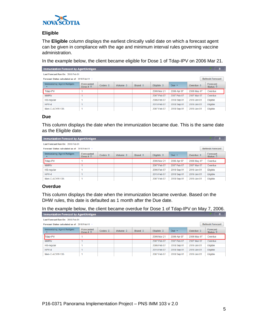

#### **Eligible**

The **Eligible** column displays the earliest clinically valid date on which a forecast agent can be given in compliance with the age and minimum interval rules governing vaccine administration.

In the example below, the client became eligible for Dose 1 of Tdap-IPV on 2006 Mar 21.

| Immunization Forecast by Agent/Antigen<br>A                                |                                               |                         |                          |                         |                            |                 |                           |                                              |  |  |  |  |  |
|----------------------------------------------------------------------------|-----------------------------------------------|-------------------------|--------------------------|-------------------------|----------------------------|-----------------|---------------------------|----------------------------------------------|--|--|--|--|--|
| Last Forecast Ran On: 2018 Feb 01                                          |                                               |                         |                          |                         |                            |                 |                           |                                              |  |  |  |  |  |
| <b>Refresh Forecast</b><br>Forecast Status calculated as of: 2018 Feb 01 · |                                               |                         |                          |                         |                            |                 |                           |                                              |  |  |  |  |  |
| Immunizing Agent/Antigen                                                   | <b>Forecasted</b><br>Dose # $\Leftrightarrow$ | Codes $\Leftrightarrow$ | Volume $\Leftrightarrow$ | Brand $\Leftrightarrow$ | Eligible $\Leftrightarrow$ | Due $\triangle$ | Overdue $\Leftrightarrow$ | <b>Forecast</b><br>Status $\hat{\mathbf{v}}$ |  |  |  |  |  |
| Tdap-IPV                                                                   |                                               |                         |                          |                         | 2006 Mar 21                | 2006 Apr 07     | 2006 May 07               | Overdue                                      |  |  |  |  |  |
| <b>MMRV</b>                                                                |                                               |                         |                          |                         | 2007 Feb 07                | 2007 Feb 07     | 2007 Mar 07               | Overdue                                      |  |  |  |  |  |
| <b>HB-regular</b>                                                          |                                               |                         |                          |                         | 2006 Feb 07                | 2018 Sep 01     | 2019 Jan 01               | Eligible                                     |  |  |  |  |  |
| $HPV-4$                                                                    |                                               |                         |                          |                         | 2015 Feb 07                | 2018 Sep 01     | 2019 Jan 01               | Eligible                                     |  |  |  |  |  |
| Men-C-ACYW-135                                                             | и                                             |                         |                          |                         | 2007 Feb 07                | 2018 Sep 01     | 2019 Jan 01               | Eligible                                     |  |  |  |  |  |

#### **Due**

This column displays the date when the immunization became due. This is the same date as the Eligible date.

| Immunization Forecast by Agent/Antigen |                                                 |                         |                          |                         |                     |                 |                           |                                       |  |  |  |  |
|----------------------------------------|-------------------------------------------------|-------------------------|--------------------------|-------------------------|---------------------|-----------------|---------------------------|---------------------------------------|--|--|--|--|
| Last Forecast Ran On: 2018 Feb 01      |                                                 |                         |                          |                         |                     |                 |                           |                                       |  |  |  |  |
|                                        | Forecast Status calculated as of: 2018 Feb 01 · |                         |                          |                         |                     |                 |                           |                                       |  |  |  |  |
| Immunizing Agent/Antigen<br>▴          | <b>Forecasted</b><br>Dose # $\hat{\diamond}$    | Codes $\Leftrightarrow$ | Volume $\Leftrightarrow$ | Brand $\Leftrightarrow$ | Eligible $\Diamond$ | Due $\triangle$ | Overdue $\Leftrightarrow$ | Forecast<br>Status $\hat{\mathbf{v}}$ |  |  |  |  |
| Tdap-IPV                               |                                                 |                         |                          |                         | 2006 Mar 21         | 2006 Apr 07     | 2006 May 07               | Overdue                               |  |  |  |  |
| <b>MMRV</b>                            |                                                 |                         |                          |                         | 2007 Feb 07         | 2007 Feb 07     | 2007 Mar 07               | Overdue                               |  |  |  |  |
| <b>HB-regular</b>                      |                                                 |                         |                          |                         | 2006 Feb 07         | 2018 Sep 01     | 2019 Jan 01               | Eligible                              |  |  |  |  |
| $HPV-4$                                |                                                 |                         |                          |                         | 2015 Feb 07         | 2018 Sep 01     | 2019 Jan 01               | Eligible                              |  |  |  |  |
| Men-C-ACYW-135                         |                                                 |                         |                          |                         | 2007 Feb 07         | 2018 Sep 01     | 2019 Jan 01               | Eligible                              |  |  |  |  |

#### **Overdue**

This column displays the date when the immunization became overdue. Based on the DHW rules, this date is defaulted as 1 month after the Due date.

In the example below, the client became overdue for Dose 1 of Tdap-IPV on May 7, 2006.

| Immunization Forecast by Agent/Antigen<br>Α                                |                                              |                         |                          |                         |                            |                 |             |                                       |  |  |  |  |  |
|----------------------------------------------------------------------------|----------------------------------------------|-------------------------|--------------------------|-------------------------|----------------------------|-----------------|-------------|---------------------------------------|--|--|--|--|--|
| Last Forecast Ran On: 2018 Feb 01                                          |                                              |                         |                          |                         |                            |                 |             |                                       |  |  |  |  |  |
| <b>Refresh Forecast</b><br>Forecast Status calculated as of: 2018 Feb 01 + |                                              |                         |                          |                         |                            |                 |             |                                       |  |  |  |  |  |
| Immunizing Agent/Antigen                                                   | <b>Forecasted</b><br>Dose # $\hat{\diamond}$ | Codes $\Leftrightarrow$ | Volume $\Leftrightarrow$ | Brand $\Leftrightarrow$ | Eligible $\Leftrightarrow$ | Due $\triangle$ | Overdue ≎   | Forecast<br>Status $\hat{\mathbf{v}}$ |  |  |  |  |  |
| Tdap-IPV                                                                   |                                              |                         |                          |                         | 2006 Mar 21                | 2006 Apr 07     | 2006 May 07 | Overdue                               |  |  |  |  |  |
| <b>MMRV</b>                                                                |                                              |                         |                          |                         | 2007 Feb 07                | 2007 Feb 07     | 2007 Mar 07 | Overdue                               |  |  |  |  |  |
| <b>HB-regular</b>                                                          |                                              |                         |                          |                         | 2006 Feb 07                | 2018 Sep 01     | 2019 Jan 01 | Eligible                              |  |  |  |  |  |
| $HPV-4$                                                                    |                                              |                         |                          |                         | 2015 Feb 07                | 2018 Sep 01     | 2019 Jan 01 | Eligible                              |  |  |  |  |  |
| Men-C-ACYW-135                                                             |                                              |                         |                          |                         | 2007 Feb 07                | 2018 Sep 01     | 2019 Jan 01 | Eligible                              |  |  |  |  |  |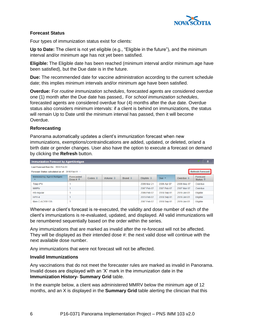

#### **Forecast Status**

Four types of immunization status exist for clients:

**Up to Date:** The client is not yet eligible (e.g., "Eligible in the future"), and the minimum interval and/or minimum age has not yet been satisfied.

**Eligible:** The Eligible date has been reached (minimum interval and/or minimum age have been satisfied), but the Due date is in the future.

**Due:** The recommended date for vaccine administration according to the current schedule date; this implies minimum intervals and/or minimum age have been satisfied.

**Overdue:** For *routine immunization schedules*, forecasted agents are considered overdue one (1) month after the Due date has passed,. For *school immunization schedules*, forecasted agents are considered overdue four (4) months after the due date. Overdue status also considers minimum intervals: if a client is behind on immunizations, the status will remain Up to Date until the minimum interval has passed, then it will become Overdue.

#### **Reforecasting**

Panorama automatically updates a client's immunization forecast when new immunizations, exemptions/contraindications are added, updated, or deleted, or/and a birth date or gender changes. User also have the option to execute a forecast on demand by clicking the **Refresh** button.

| Immunization Forecast by Agent/Antigen                                     |                                              |                         |                          |                         |                            |                 |                           |                                              |  |  |  |  |
|----------------------------------------------------------------------------|----------------------------------------------|-------------------------|--------------------------|-------------------------|----------------------------|-----------------|---------------------------|----------------------------------------------|--|--|--|--|
| Last Forecast Ran On: 2018 Feb 01                                          |                                              |                         |                          |                         |                            |                 |                           |                                              |  |  |  |  |
| <b>Refresh Forecast</b><br>Forecast Status calculated as of: 2018 Feb 01 · |                                              |                         |                          |                         |                            |                 |                           |                                              |  |  |  |  |
| <b>Immunizing Agent/Antigen</b><br>▴                                       | <b>Forecasted</b><br>Dose # $\hat{\diamond}$ | Codes $\Leftrightarrow$ | Volume $\Leftrightarrow$ | Brand $\Leftrightarrow$ | Eligible $\Leftrightarrow$ | Due $\triangle$ | Overdue $\Leftrightarrow$ | <b>Forecast</b><br>Status $\hat{\mathbf{v}}$ |  |  |  |  |
| Tdap-IPV                                                                   |                                              |                         |                          |                         | 2006 Mar 21                | 2006 Apr 07     | 2006 May 07               | Overdue                                      |  |  |  |  |
| <b>MMRV</b>                                                                |                                              |                         |                          |                         | 2007 Feb 07                | 2007 Feb 07     | 2007 Mar 07               | Overdue                                      |  |  |  |  |
| <b>HB-regular</b>                                                          |                                              |                         |                          |                         | 2006 Feb 07                | 2018 Sep 01     | 2019 Jan 01               | Eligible                                     |  |  |  |  |
| $HPV-4$                                                                    |                                              |                         |                          |                         | 2015 Feb 07                | 2018 Sep 01     | 2019 Jan 01               | Eligible                                     |  |  |  |  |
| Men-C-ACYW-135                                                             |                                              |                         |                          |                         | 2007 Feb 07                | 2018 Sep 01     | 2019 Jan 01               | Eligible                                     |  |  |  |  |

Whenever a client's forecast is re-executed, the validity and dose number of each of the client's immunizations is re-evaluated, updated, and displayed. All valid immunizations will be renumbered sequentially based on the order within the series.

Any immunizations that are marked as invalid after the re-forecast will not be affected. They will be displayed as their intended dose #: the next valid dose will continue with the next available dose number.

Any immunizations that were not forecast will not be affected.

#### **Invalid Immunizations**

Any vaccinations that do not meet the forecaster rules are marked as invalid in Panorama. Invalid doses are displayed with an 'X' mark in the immunization date in the **Immunization History- Summary Grid** table.

In the example below, a client was administered MMRV below the minimum age of 12 months, and an X is displayed in the **Summary Grid** table alerting the clinician that this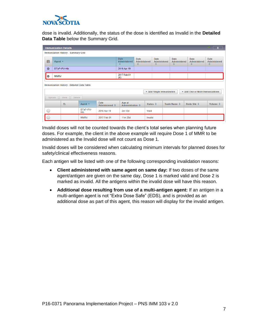

dose is invalid. Additionally, the status of the dose is identified as Invalid in the **Detailed Data Table** below the Summary Grid.

|                                                   |                                     | <b>Immunization Details</b>                       |                   |                                                 |                                   |  |                                         |                         |              |                                  |                                         | $\hat{z}$                |  |  |
|---------------------------------------------------|-------------------------------------|---------------------------------------------------|-------------------|-------------------------------------------------|-----------------------------------|--|-----------------------------------------|-------------------------|--------------|----------------------------------|-----------------------------------------|--------------------------|--|--|
|                                                   | Immunization History - Summary Grid |                                                   |                   |                                                 |                                   |  |                                         |                         |              |                                  |                                         |                          |  |  |
| $\blacksquare$                                    | Agent $-$                           |                                                   |                   | <b>Date</b><br>Administered<br>$\blacktriangle$ | <b>Date</b><br>Administered<br>≎  |  | <b>Date</b><br><b>Administered</b><br>≎ | <b>Date</b><br>≎        | Administered | <b>Date</b><br>Administered<br>≎ | <b>Date</b><br><b>Administered</b><br>≎ |                          |  |  |
| $\bullet$                                         | DTaP-IPV-Hib                        |                                                   |                   | 2016 Apr 19                                     |                                   |  |                                         |                         |              |                                  |                                         |                          |  |  |
| $\bullet$                                         | <b>MMRV</b>                         |                                                   |                   | 2017 Feb 01<br>(X)                              |                                   |  |                                         |                         |              |                                  |                                         |                          |  |  |
|                                                   |                                     | <b>Immunization History - Detailed Data Table</b> |                   |                                                 |                                   |  |                                         |                         |              |                                  |                                         |                          |  |  |
|                                                   |                                     |                                                   |                   |                                                 |                                   |  |                                         | Add Single Immunization |              |                                  | Add One or More Immunizations           |                          |  |  |
|                                                   | Update                              | <b>View</b><br><b>Delete</b>                      |                   |                                                 |                                   |  |                                         |                         |              |                                  |                                         |                          |  |  |
|                                                   |                                     | 日                                                 | Agent $\triangle$ | <b>Date</b><br>Administered ☆                   | Age at<br><b>Administration ♦</b> |  | Status $\diamond$                       |                         | Trade Name ↓ |                                  | Body Site ♦                             | Volume $\Leftrightarrow$ |  |  |
| DTaP-IPV-<br>$\overline{C}$<br>2016 Apr 19<br>Hib |                                     |                                                   |                   |                                                 | $2m$ 12d                          |  | Valid                                   |                         |              |                                  |                                         |                          |  |  |
|                                                   |                                     |                                                   | <b>MMRV</b>       | 2017 Feb 01                                     | 11m 25d                           |  | Invalid                                 |                         |              |                                  |                                         |                          |  |  |

Invalid doses will not be counted towards the client's total series when planning future doses. For example, the client in the above example will require Dose 1 of MMR to be administered as the Invalid dose will not count as Dose 1.

Invalid doses will be considered when calculating minimum intervals for planned doses for safety/clinical effectiveness reasons.

Each antigen will be listed with one of the following corresponding invalidation reasons:

- **Client administered with same agent on same day:** If two doses of the same agent/antigen are given on the same day, Dose 1 is marked valid and Dose 2 is marked as invalid. All the antigens within the invalid dose will have this reason.
- **Additional dose resulting from use of a multi-antigen agent:** If an antigen in a multi-antigen agent is not "Extra Dose Safe" (EDS), and is provided as an additional dose as part of this agent, this reason will display for the invalid antigen.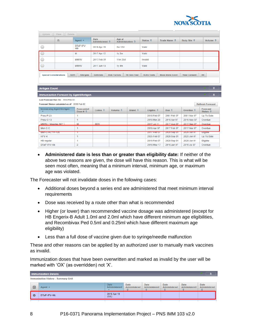

| <b>Delete</b><br>Update<br>View                                                                                                                                                                                                                |                                                     |                  |                               |                                            |                   |                        |                      |                         |  |  |  |  |  |
|------------------------------------------------------------------------------------------------------------------------------------------------------------------------------------------------------------------------------------------------|-----------------------------------------------------|------------------|-------------------------------|--------------------------------------------|-------------------|------------------------|----------------------|-------------------------|--|--|--|--|--|
|                                                                                                                                                                                                                                                | B                                                   | Agent $-$        | <b>Date</b><br>Administered ↓ | Age at<br><b>Administration ↓</b>          | Status $\diamond$ | Trade Name ↓           | Body Site $\diamond$ | Volume $\diamond$       |  |  |  |  |  |
| ×                                                                                                                                                                                                                                              |                                                     | DTaP-IPV-<br>Hib | 2016 Apr 19                   | 2m 12d                                     | Valid             |                        |                      |                         |  |  |  |  |  |
|                                                                                                                                                                                                                                                | M<br>1y <sub>2m</sub><br>2017 Apr 12                |                  |                               | Valid                                      |                   |                        |                      |                         |  |  |  |  |  |
| ◯                                                                                                                                                                                                                                              |                                                     | <b>MMRV</b>      | 2017 Feb 01                   | 11m 25d                                    | Invalid           |                        |                      |                         |  |  |  |  |  |
|                                                                                                                                                                                                                                                | <b>MMRV</b><br>2017 Jun 13                          |                  |                               | $1y$ 4 $m$                                 | Valid             |                        |                      |                         |  |  |  |  |  |
|                                                                                                                                                                                                                                                |                                                     |                  |                               |                                            |                   |                        |                      |                         |  |  |  |  |  |
| <b>Special Considerations</b>                                                                                                                                                                                                                  | <b>AEFI</b>                                         | <b>Allergies</b> | <b>Deferrals</b>              | <b>Risk Factors</b><br><b>TB Skin Test</b> | <b>IGRA Tests</b> | <b>Mass Imms Event</b> | <b>View Consent</b>  | <b>IHI</b>              |  |  |  |  |  |
|                                                                                                                                                                                                                                                |                                                     |                  |                               |                                            |                   |                        |                      |                         |  |  |  |  |  |
|                                                                                                                                                                                                                                                |                                                     |                  |                               |                                            |                   |                        |                      |                         |  |  |  |  |  |
| <b>Antigen Count</b>                                                                                                                                                                                                                           |                                                     |                  |                               |                                            |                   |                        |                      | ×                       |  |  |  |  |  |
|                                                                                                                                                                                                                                                | $\hat{z}$<br>Immunization Forecast by Agent/Antigen |                  |                               |                                            |                   |                        |                      |                         |  |  |  |  |  |
|                                                                                                                                                                                                                                                | Last Forecast Ran On: 2018 Feb 02                   |                  |                               |                                            |                   |                        |                      |                         |  |  |  |  |  |
|                                                                                                                                                                                                                                                | Forecast Status calculated as of: 2018 Feb 02       |                  |                               |                                            |                   |                        |                      | <b>Refresh Forecast</b> |  |  |  |  |  |
| <b>Immunizing Agent/Antigen</b><br>Forecast<br>Forecasted<br>Brand $\Leftrightarrow$<br>Codes $\diamond$<br>Volume $\diamond$<br>Due $\hat{\mathbf{v}}$<br>Eligible $\diamond$<br>Overdue $\diamond$<br>Dose # $\Diamond$<br>Status $\diamond$ |                                                     |                  |                               |                                            |                   |                        |                      |                         |  |  |  |  |  |

| <b>ININUILLING AGENTAILING</b> | <u>rulecasieu</u><br>Dose # $\Diamond$ | Codes $\hat{\mathbf{v}}$ | Volume $\hat{\mathbf{v}}$ | Brand $\Leftrightarrow$ | Eligible $\hat{\triangledown}$ | Due $\hat{\mathbf{v}}$ | Overdue $\hat{\mathbf{v}}$ | <b>FUILLE</b><br>Status $\hat{\mathbf{v}}$ |
|--------------------------------|----------------------------------------|--------------------------|---------------------------|-------------------------|--------------------------------|------------------------|----------------------------|--------------------------------------------|
| Pneu-P-23                      |                                        |                          |                           |                         | 2018 Feb 07                    | 2081 Feb 07            | 2081 Mar 07                | <b>Up To Date</b>                          |
| Pneu-C-13                      |                                        |                          |                           |                         | 2016 Mar 20                    | 2016 Apr 07            | 2016 May 07                | Overdue                                    |
| MMRV (Measles (M)*)            |                                        | <b>EDS</b>               |                           |                         | 2017 Jul 11                    | 2017 Aug 07            | 2017 Sep 07                | Overdue                                    |
| Men-C-C                        |                                        |                          |                           |                         | 2016 Apr 07                    | 2017 Feb 07            | 2017 Mar 07                | Overdue                                    |
| Men-C-ACYW-135                 |                                        |                          |                           |                         | 2017 Feb 07                    | <b>2028 Sep 01</b>     | <b>2029 Jan 01</b>         | <b>Eligible</b>                            |
| $HPV-4$                        |                                        |                          |                           |                         | 2025 Feb 07                    | 2028 Sep 01            | 2029 Jan 01                | Up To Date                                 |
| <b>HB-regular</b>              |                                        |                          |                           |                         | 2016 Feb 07                    | 2028 Sep 01            | 2029 Jan 01                | <b>Eligible</b>                            |
| DTaP-IPV-Hib                   |                                        |                          |                           |                         | 2016 May 17                    | 2016 Jun 07            | 2016 Jul 07                | Overdue                                    |

• **Administered date is less than or greater than eligibility date:** If neither of the above two reasons are given, the dose will have this reason. This is what will be seen most often, meaning that a minimum interval, minimum age, or maximum age was violated.

The Forecaster will not invalidate doses in the following cases:

- Additional doses beyond a series end are administered that meet minimum interval requirements
- Dose was received by a route other than what is recommended
- Higher (or lower) than recommended vaccine dosage was administered (except for HB Engerix-B Adult 1.0ml and 2.0ml which have different minimum age eligibilities, and Recombivax Ped 0.5ml and 0.25ml which have different maximum age eligibility)
- Less than a full dose of vaccine given due to syringe/needle malfunction

These and other reasons can be applied by an authorized user to manually mark vaccines as invalid.

Immunization doses that have been overwritten and marked as invalid by the user will be marked with 'OX' (as overridden) not 'X'.

| <b>Immunization Details</b>                |                   |                                  |                            |                                  |                                  |                                  |                           |  |  |  |  |  |
|--------------------------------------------|-------------------|----------------------------------|----------------------------|----------------------------------|----------------------------------|----------------------------------|---------------------------|--|--|--|--|--|
| <b>Immunization History - Summary Grid</b> |                   |                                  |                            |                                  |                                  |                                  |                           |  |  |  |  |  |
| ▣                                          | Agent $\triangle$ | <b>Date</b><br>Administered<br>▴ | Date<br>Administered<br>e. | <b>Date</b><br>Administered<br>≎ | <b>Date</b><br>Administered<br>≎ | <b>Date</b><br>Administered<br>٠ | Date<br>Administered<br>≎ |  |  |  |  |  |
| - 0                                        | DTaP-IPV-Hib      | 2016 Apr 19<br>(OX)              |                            |                                  |                                  |                                  |                           |  |  |  |  |  |
|                                            |                   |                                  |                            |                                  |                                  |                                  |                           |  |  |  |  |  |